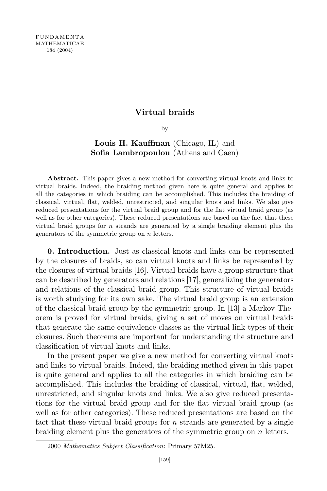### Virtual braids

by

## Louis H. Kauffman (Chicago, IL) and Sofia Lambropoulou (Athens and Caen)

Abstract. This paper gives a new method for converting virtual knots and links to virtual braids. Indeed, the braiding method given here is quite general and applies to all the categories in which braiding can be accomplished. This includes the braiding of classical, virtual, flat, welded, unrestricted, and singular knots and links. We also give reduced presentations for the virtual braid group and for the flat virtual braid group (as well as for other categories). These reduced presentations are based on the fact that these virtual braid groups for *n* strands are generated by a single braiding element plus the generators of the symmetric group on n letters.

0. Introduction. Just as classical knots and links can be represented by the closures of braids, so can virtual knots and links be represented by the closures of virtual braids [16]. Virtual braids have a group structure that can be described by generators and relations [17], generalizing the generators and relations of the classical braid group. This structure of virtual braids is worth studying for its own sake. The virtual braid group is an extension of the classical braid group by the symmetric group. In [13] a Markov Theorem is proved for virtual braids, giving a set of moves on virtual braids that generate the same equivalence classes as the virtual link types of their closures. Such theorems are important for understanding the structure and classification of virtual knots and links.

In the present paper we give a new method for converting virtual knots and links to virtual braids. Indeed, the braiding method given in this paper is quite general and applies to all the categories in which braiding can be accomplished. This includes the braiding of classical, virtual, flat, welded, unrestricted, and singular knots and links. We also give reduced presentations for the virtual braid group and for the flat virtual braid group (as well as for other categories). These reduced presentations are based on the fact that these virtual braid groups for n strands are generated by a single braiding element plus the generators of the symmetric group on n letters.

<sup>2000</sup> Mathematics Subject Classification: Primary 57M25.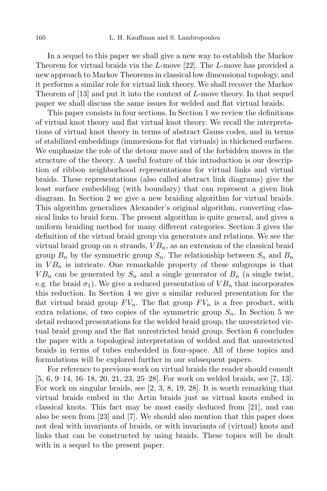In a sequel to this paper we shall give a new way to establish the Markov Theorem for virtual braids via the L-move [22]. The L-move has provided a new approach to Markov Theorems in classical low dimensional topology, and it performs a similar role for virtual link theory. We shall recover the Markov Theorem of [13] and put it into the context of L-move theory. In that sequel paper we shall discuss the same issues for welded and flat virtual braids.

This paper consists in four sections. In Section 1 we review the definitions of virtual knot theory and flat virtual knot theory. We recall the interpretations of virtual knot theory in terms of abstract Gauss codes, and in terms of stabilized embeddings (immersions for flat virtuals) in thickened surfaces. We emphasize the role of the detour move and of the forbidden moves in the structure of the theory. A useful feature of this introduction is our description of ribbon neighborhood representations for virtual links and virtual braids. These representations (also called abstract link diagrams) give the least surface embedding (with boundary) that can represent a given link diagram. In Section 2 we give a new braiding algorithm for virtual braids. This algorithm generalizes Alexander's original algorithm, converting classical links to braid form. The present algorithm is quite general, and gives a uniform braiding method for many different categories. Section 3 gives the definition of the virtual braid group via generators and relations. We see the virtual braid group on *n* strands,  $VB_n$ , as an extension of the classical braid group  $B_n$  by the symmetric group  $S_n$ . The relationship between  $S_n$  and  $B_n$ in  $VB_n$  is intricate. One remarkable property of these subgroups is that  $VB_n$  can be generated by  $S_n$  and a single generator of  $B_n$  (a single twist, e.g. the braid  $\sigma_1$ ). We give a reduced presentation of  $VB_n$  that incorporates this reduction. In Section 4 we give a similar reduced presentation for the flat virtual braid group  $FV_n$ . The flat group  $FV_n$  is a free product, with extra relations, of two copies of the symmetric group  $S_n$ . In Section 5 we detail reduced presentations for the welded braid group, the unrestricted virtual braid group and the flat unrestricted braid group. Section 6 concludes the paper with a topological interpretation of welded and flat unrestricted braids in terms of tubes embedded in four-space. All of these topics and formulations will be explored further in our subsequent papers.

For reference to previous work on virtual braids the reader should consult [5, 6, 9–14, 16–18, 20, 21, 23, 25–28]. For work on welded braids, see [7, 13]. For work on singular braids, see [2, 3, 8, 19, 28]. It is worth remarking that virtual braids embed in the Artin braids just as virtual knots embed in classical knots. This fact may be most easily deduced from [21], and can also be seen from [23] and [7]. We should also mention that this paper does not deal with invariants of braids, or with invariants of (virtual) knots and links that can be constructed by using braids. These topics will be dealt with in a sequel to the present paper.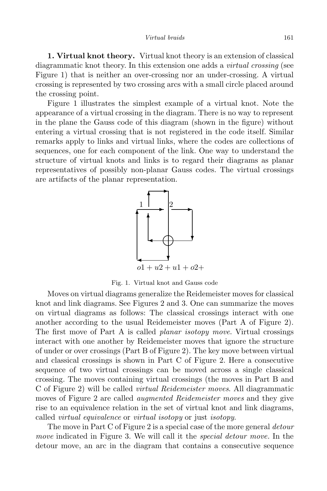1. Virtual knot theory. Virtual knot theory is an extension of classical diagrammatic knot theory. In this extension one adds a *virtual crossing* (see Figure 1) that is neither an over-crossing nor an under-crossing. A virtual crossing is represented by two crossing arcs with a small circle placed around the crossing point.

Figure 1 illustrates the simplest example of a virtual knot. Note the appearance of a virtual crossing in the diagram. There is no way to represent in the plane the Gauss code of this diagram (shown in the figure) without entering a virtual crossing that is not registered in the code itself. Similar remarks apply to links and virtual links, where the codes are collections of sequences, one for each component of the link. One way to understand the structure of virtual knots and links is to regard their diagrams as planar representatives of possibly non-planar Gauss codes. The virtual crossings are artifacts of the planar representation.



Fig. 1. Virtual knot and Gauss code

Moves on virtual diagrams generalize the Reidemeister moves for classical knot and link diagrams. See Figures 2 and 3. One can summarize the moves on virtual diagrams as follows: The classical crossings interact with one another according to the usual Reidemeister moves (Part A of Figure 2). The first move of Part A is called planar isotopy move. Virtual crossings interact with one another by Reidemeister moves that ignore the structure of under or over crossings (Part B of Figure 2). The key move between virtual and classical crossings is shown in Part C of Figure 2. Here a consecutive sequence of two virtual crossings can be moved across a single classical crossing. The moves containing virtual crossings (the moves in Part B and C of Figure 2) will be called virtual Reidemeister moves. All diagrammatic moves of Figure 2 are called *augmented Reidemeister moves* and they give rise to an equivalence relation in the set of virtual knot and link diagrams, called virtual equivalence or virtual isotopy or just isotopy.

The move in Part C of Figure 2 is a special case of the more general *detour* move indicated in Figure 3. We will call it the *special detour move*. In the detour move, an arc in the diagram that contains a consecutive sequence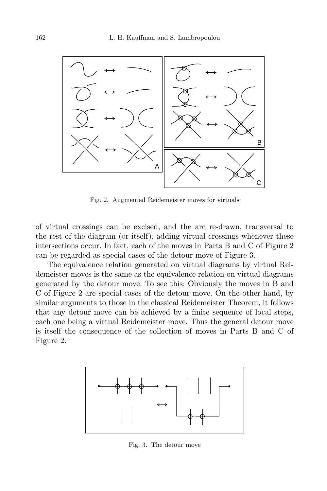

Fig. 2. Augmented Reidemeister moves for virtuals

of virtual crossings can be excised, and the arc re-drawn, transversal to the rest of the diagram (or itself), adding virtual crossings whenever these intersections occur. In fact, each of the moves in Parts B and C of Figure 2 can be regarded as special cases of the detour move of Figure 3.

The equivalence relation generated on virtual diagrams by virtual Reidemeister moves is the same as the equivalence relation on virtual diagrams generated by the detour move. To see this: Obviously the moves in B and C of Figure 2 are special cases of the detour move. On the other hand, by similar arguments to those in the classical Reidemeister Theorem, it follows that any detour move can be achieved by a finite sequence of local steps, each one being a virtual Reidemeister move. Thus the general detour move is itself the consequence of the collection of moves in Parts B and C of Figure 2.



Fig. 3. The detour move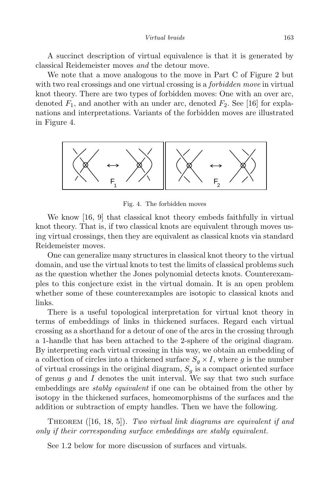A succinct description of virtual equivalence is that it is generated by classical Reidemeister moves and the detour move.

We note that a move analogous to the move in Part C of Figure 2 but with two real crossings and one virtual crossing is a *forbidden move* in virtual knot theory. There are two types of forbidden moves: One with an over arc, denoted  $F_1$ , and another with an under arc, denoted  $F_2$ . See [16] for explanations and interpretations. Variants of the forbidden moves are illustrated in Figure 4.



Fig. 4. The forbidden moves

We know [16, 9] that classical knot theory embeds faithfully in virtual knot theory. That is, if two classical knots are equivalent through moves using virtual crossings, then they are equivalent as classical knots via standard Reidemeister moves.

One can generalize many structures in classical knot theory to the virtual domain, and use the virtual knots to test the limits of classical problems such as the question whether the Jones polynomial detects knots. Counterexamples to this conjecture exist in the virtual domain. It is an open problem whether some of these counterexamples are isotopic to classical knots and links.

There is a useful topological interpretation for virtual knot theory in terms of embeddings of links in thickened surfaces. Regard each virtual crossing as a shorthand for a detour of one of the arcs in the crossing through a 1-handle that has been attached to the 2-sphere of the original diagram. By interpreting each virtual crossing in this way, we obtain an embedding of a collection of circles into a thickened surface  $S_q \times I$ , where g is the number of virtual crossings in the original diagram,  $S_q$  is a compact oriented surface of genus  $g$  and  $I$  denotes the unit interval. We say that two such surface embeddings are *stably equivalent* if one can be obtained from the other by isotopy in the thickened surfaces, homeomorphisms of the surfaces and the addition or subtraction of empty handles. Then we have the following.

THEOREM  $([16, 18, 5])$ . Two virtual link diagrams are equivalent if and only if their corresponding surface embeddings are stably equivalent.

See 1.2 below for more discussion of surfaces and virtuals.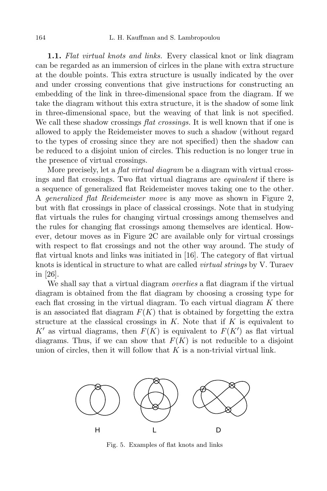1.1. Flat virtual knots and links. Every classical knot or link diagram can be regarded as an immersion of cirlces in the plane with extra structure at the double points. This extra structure is usually indicated by the over and under crossing conventions that give instructions for constructing an embedding of the link in three-dimensional space from the diagram. If we take the diagram without this extra structure, it is the shadow of some link in three-dimensional space, but the weaving of that link is not specified. We call these shadow crossings *flat crossings*. It is well known that if one is allowed to apply the Reidemeister moves to such a shadow (without regard to the types of crossing since they are not specified) then the shadow can be reduced to a disjoint union of circles. This reduction is no longer true in the presence of virtual crossings.

More precisely, let a *flat virtual diagram* be a diagram with virtual crossings and flat crossings. Two flat virtual diagrams are equivalent if there is a sequence of generalized flat Reidemeister moves taking one to the other. A generalized flat Reidemeister move is any move as shown in Figure 2, but with flat crossings in place of classical crossings. Note that in studying flat virtuals the rules for changing virtual crossings among themselves and the rules for changing flat crossings among themselves are identical. However, detour moves as in Figure 2C are available only for virtual crossings with respect to flat crossings and not the other way around. The study of flat virtual knots and links was initiated in [16]. The category of flat virtual knots is identical in structure to what are called virtual strings by V. Turaev in [26].

We shall say that a virtual diagram *overlies* a flat diagram if the virtual diagram is obtained from the flat diagram by choosing a crossing type for each flat crossing in the virtual diagram. To each virtual diagram  $K$  there is an associated flat diagram  $F(K)$  that is obtained by forgetting the extra structure at the classical crossings in  $K$ . Note that if  $K$  is equivalent to K' as virtual diagrams, then  $F(K)$  is equivalent to  $F(K')$  as flat virtual diagrams. Thus, if we can show that  $F(K)$  is not reducible to a disjoint union of circles, then it will follow that  $K$  is a non-trivial virtual link.



Fig. 5. Examples of flat knots and links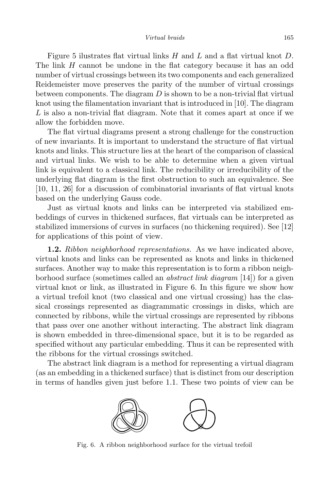#### Virtual braids 165

Figure 5 ilustrates flat virtual links  $H$  and  $L$  and a flat virtual knot  $D$ . The link H cannot be undone in the flat category because it has an odd number of virtual crossings between its two components and each generalized Reidemeister move preserves the parity of the number of virtual crossings between components. The diagram  $D$  is shown to be a non-trivial flat virtual knot using the filamentation invariant that is introduced in [10]. The diagram L is also a non-trivial flat diagram. Note that it comes apart at once if we allow the forbidden move.

The flat virtual diagrams present a strong challenge for the construction of new invariants. It is important to understand the structure of flat virtual knots and links. This structure lies at the heart of the comparison of classical and virtual links. We wish to be able to determine when a given virtual link is equivalent to a classical link. The reducibility or irreducibility of the underlying flat diagram is the first obstruction to such an equivalence. See [10, 11, 26] for a discussion of combinatorial invariants of flat virtual knots based on the underlying Gauss code.

Just as virtual knots and links can be interpreted via stabilized embeddings of curves in thickened surfaces, flat virtuals can be interpreted as stabilized immersions of curves in surfaces (no thickening required). See [12] for applications of this point of view.

**1.2.** Ribbon neighborhood representations. As we have indicated above, virtual knots and links can be represented as knots and links in thickened surfaces. Another way to make this representation is to form a ribbon neighborhood surface (sometimes called an abstract link diagram [14]) for a given virtual knot or link, as illustrated in Figure 6. In this figure we show how a virtual trefoil knot (two classical and one virtual crossing) has the classical crossings represented as diagrammatic crossings in disks, which are connected by ribbons, while the virtual crossings are represented by ribbons that pass over one another without interacting. The abstract link diagram is shown embedded in three-dimensional space, but it is to be regarded as specified without any particular embedding. Thus it can be represented with the ribbons for the virtual crossings switched.

The abstract link diagram is a method for representing a virtual diagram (as an embedding in a thickened surface) that is distinct from our description in terms of handles given just before 1.1. These two points of view can be



Fig. 6. A ribbon neighborhood surface for the virtual trefoil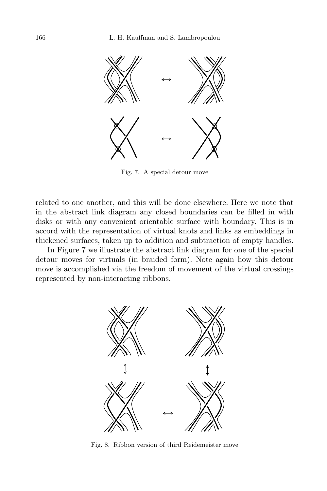

Fig. 7. A special detour move

related to one another, and this will be done elsewhere. Here we note that in the abstract link diagram any closed boundaries can be filled in with disks or with any convenient orientable surface with boundary. This is in accord with the representation of virtual knots and links as embeddings in thickened surfaces, taken up to addition and subtraction of empty handles.

In Figure 7 we illustrate the abstract link diagram for one of the special detour moves for virtuals (in braided form). Note again how this detour move is accomplished via the freedom of movement of the virtual crossings represented by non-interacting ribbons.



Fig. 8. Ribbon version of third Reidemeister move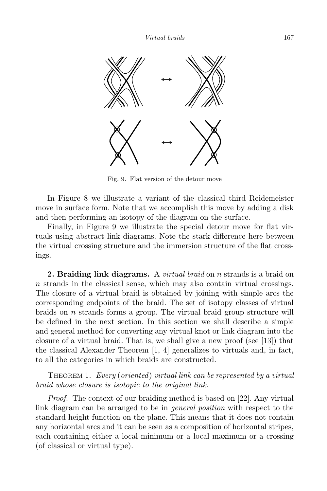

Fig. 9. Flat version of the detour move

In Figure 8 we illustrate a variant of the classical third Reidemeister move in surface form. Note that we accomplish this move by adding a disk and then performing an isotopy of the diagram on the surface.

Finally, in Figure 9 we illustrate the special detour move for flat virtuals using abstract link diagrams. Note the stark difference here between the virtual crossing structure and the immersion structure of the flat crossings.

**2. Braiding link diagrams.** A *virtual braid* on *n* strands is a braid on n strands in the classical sense, which may also contain virtual crossings. The closure of a virtual braid is obtained by joining with simple arcs the corresponding endpoints of the braid. The set of isotopy classes of virtual braids on  $n$  strands forms a group. The virtual braid group structure will be defined in the next section. In this section we shall describe a simple and general method for converting any virtual knot or link diagram into the closure of a virtual braid. That is, we shall give a new proof (see [13]) that the classical Alexander Theorem  $[1, 4]$  generalizes to virtuals and, in fact, to all the categories in which braids are constructed.

THEOREM 1. Every (oriented) virtual link can be represented by a virtual braid whose closure is isotopic to the original link.

Proof. The context of our braiding method is based on [22]. Any virtual link diagram can be arranged to be in general position with respect to the standard height function on the plane. This means that it does not contain any horizontal arcs and it can be seen as a composition of horizontal stripes, each containing either a local minimum or a local maximum or a crossing (of classical or virtual type).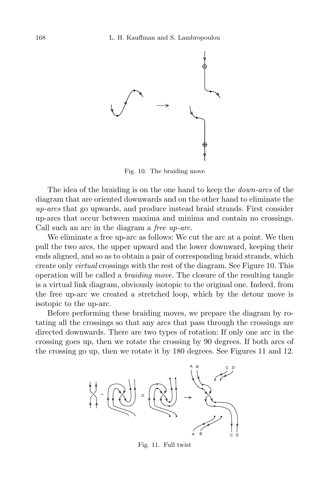

Fig. 10. The braiding move

The idea of the braiding is on the one hand to keep the *down-arcs* of the diagram that are oriented downwards and on the other hand to eliminate the up-arcs that go upwards, and produce instead braid strands. First consider up-arcs that occur between maxima and minima and contain no crossings. Call such an arc in the diagram a free up-arc.

We eliminate a free up-arc as follows: We cut the arc at a point. We then pull the two arcs, the upper upward and the lower downward, keeping their ends aligned, and so as to obtain a pair of corresponding braid strands, which create only virtual crossings with the rest of the diagram. See Figure 10. This operation will be called a braiding move. The closure of the resulting tangle is a virtual link diagram, obviously isotopic to the original one. Indeed, from the free up-arc we created a stretched loop, which by the detour move is isotopic to the up-arc.

Before performing these braiding moves, we prepare the diagram by rotating all the crossings so that any arcs that pass through the crossings are directed downwards. There are two types of rotation: If only one arc in the crossing goes up, then we rotate the crossing by 90 degrees. If both arcs of the crossing go up, then we rotate it by 180 degrees. See Figures 11 and 12.



Fig. 11. Full twist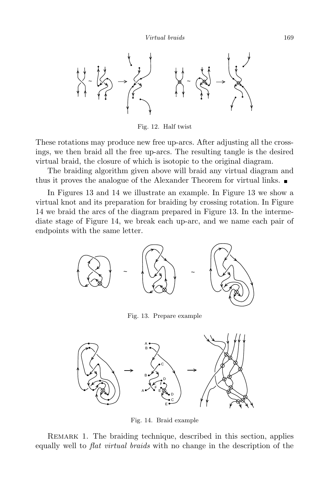

Fig. 12. Half twist

These rotations may produce new free up-arcs. After adjusting all the crossings, we then braid all the free up-arcs. The resulting tangle is the desired virtual braid, the closure of which is isotopic to the original diagram.

The braiding algorithm given above will braid any virtual diagram and thus it proves the analogue of the Alexander Theorem for virtual links.

In Figures 13 and 14 we illustrate an example. In Figure 13 we show a virtual knot and its preparation for braiding by crossing rotation. In Figure 14 we braid the arcs of the diagram prepared in Figure 13. In the intermediate stage of Figure 14, we break each up-arc, and we name each pair of endpoints with the same letter.



Fig. 13. Prepare example



Fig. 14. Braid example

REMARK 1. The braiding technique, described in this section, applies equally well to flat virtual braids with no change in the description of the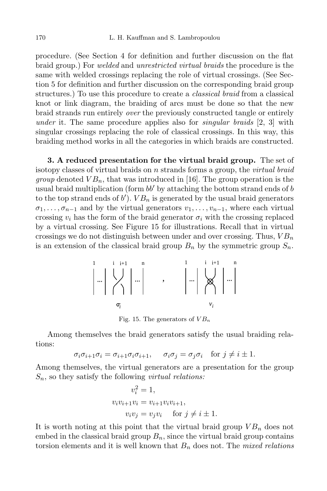procedure. (See Section 4 for definition and further discussion on the flat braid group.) For welded and unrestricted virtual braids the procedure is the same with welded crossings replacing the role of virtual crossings. (See Section 5 for definition and further discussion on the corresponding braid group structures.) To use this procedure to create a classical braid from a classical knot or link diagram, the braiding of arcs must be done so that the new braid strands run entirely over the previously constructed tangle or entirely under it. The same procedure applies also for *singular braids*  $[2, 3]$  with singular crossings replacing the role of classical crossings. In this way, this braiding method works in all the categories in which braids are constructed.

3. A reduced presentation for the virtual braid group. The set of isotopy classes of virtual braids on n strands forms a group, the *virtual braid group* denoted  $VB_n$ , that was introduced in [16]. The group operation is the usual braid multiplication (form  $bb'$  by attaching the bottom strand ends of b to the top strand ends of  $b'$ ).  $VB_n$  is generated by the usual braid generators  $\sigma_1, \ldots, \sigma_{n-1}$  and by the virtual generators  $v_1, \ldots, v_{n-1}$ , where each virtual crossing  $v_i$  has the form of the braid generator  $\sigma_i$  with the crossing replaced by a virtual crossing. See Figure 15 for illustrations. Recall that in virtual crossings we do not distinguish between under and over crossing. Thus,  $VB_n$ is an extension of the classical braid group  $B_n$  by the symmetric group  $S_n$ .



Fig. 15. The generators of  $VB_n$ 

Among themselves the braid generators satisfy the usual braiding relations:

$$
\sigma_i \sigma_{i+1} \sigma_i = \sigma_{i+1} \sigma_i \sigma_{i+1}, \quad \sigma_i \sigma_j = \sigma_j \sigma_i \quad \text{for } j \neq i \pm 1.
$$

Among themselves, the virtual generators are a presentation for the group  $S_n$ , so they satisfy the following *virtual relations:* 

$$
v_i^2 = 1,
$$
  
\n
$$
v_i v_{i+1} v_i = v_{i+1} v_i v_{i+1},
$$
  
\n
$$
v_i v_j = v_j v_i \quad \text{for } j \neq i \pm 1.
$$

It is worth noting at this point that the virtual braid group  $VB_n$  does not embed in the classical braid group  $B_n$ , since the virtual braid group contains torsion elements and it is well known that  $B_n$  does not. The *mixed relations*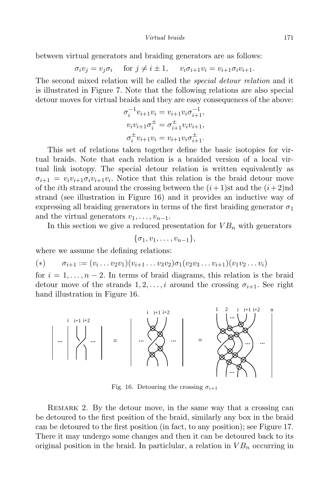between virtual generators and braiding generators are as follows:

$$
\sigma_i v_j = v_j \sigma_i \quad \text{ for } j \neq i \pm 1, \quad v_i \sigma_{i+1} v_i = v_{i+1} \sigma_i v_{i+1}.
$$

The second mixed relation will be called the *special detour relation* and it is illustrated in Figure 7. Note that the following relations are also special detour moves for virtual braids and they are easy consequences of the above:

$$
\sigma_i^{-1} v_{i+1} v_i = v_{i+1} v_i \sigma_{i+1}^{-1},
$$
  
\n
$$
v_i v_{i+1} \sigma_i^{\pm} = \sigma_{i+1}^{\pm} v_i v_{i+1},
$$
  
\n
$$
\sigma_i^{\pm} v_{i+1} v_i = v_{i+1} v_i \sigma_{i+1}^{\pm}.
$$

This set of relations taken together define the basic isotopies for virtual braids. Note that each relation is a braided version of a local virtual link isotopy. The special detour relation is written equivalently as  $\sigma_{i+1} = v_i v_{i+1} \sigma_i v_{i+1} v_i$ . Notice that this relation is the braid detour move of the *i*th strand around the crossing between the  $(i+1)$ st and the  $(i+2)$ nd strand (see illustration in Figure 16) and it provides an inductive way of expressing all braiding generators in terms of the first braiding generator  $\sigma_1$ and the virtual generators  $v_1, \ldots, v_{n-1}$ .

In this section we give a reduced presentation for  $VB_n$  with generators

$$
\{\sigma_1,v_1,\ldots,v_{n-1}\},\
$$

where we assume the defining relations:

(\*) 
$$
\sigma_{i+1} := (v_i \dots v_2 v_1)(v_{i+1} \dots v_3 v_2) \sigma_1 (v_2 v_3 \dots v_{i+1})(v_1 v_2 \dots v_i)
$$

for  $i = 1, \ldots, n-2$ . In terms of braid diagrams, this relation is the braid detour move of the strands  $1, 2, \ldots, i$  around the crossing  $\sigma_{i+1}$ . See right hand illustration in Figure 16.



Fig. 16. Detouring the crossing  $\sigma_{i+1}$ 

REMARK 2. By the detour move, in the same way that a crossing can be detoured to the first position of the braid, similarly any box in the braid can be detoured to the first position (in fact, to any position); see Figure 17. There it may undergo some changes and then it can be detoured back to its original position in the braid. In particlular, a relation in  $VB_n$  occurring in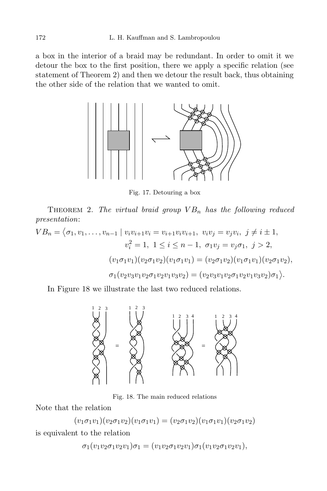a box in the interior of a braid may be redundant. In order to omit it we detour the box to the first position, there we apply a specific relation (see statement of Theorem 2) and then we detour the result back, thus obtaining the other side of the relation that we wanted to omit.



Fig. 17. Detouring a box

THEOREM 2. The virtual braid group  $VB_n$  has the following reduced presentation:

$$
VB_n = \langle \sigma_1, v_1, \dots, v_{n-1} \mid v_i v_{i+1} v_i = v_{i+1} v_i v_{i+1}, v_i v_j = v_j v_i, j \neq i \pm 1,
$$
  
\n
$$
v_i^2 = 1, 1 \leq i \leq n-1, \sigma_1 v_j = v_j \sigma_1, j > 2,
$$
  
\n
$$
(v_1 \sigma_1 v_1)(v_2 \sigma_1 v_2)(v_1 \sigma_1 v_1) = (v_2 \sigma_1 v_2)(v_1 \sigma_1 v_1)(v_2 \sigma_1 v_2),
$$
  
\n
$$
\sigma_1 (v_2 v_3 v_1 v_2 \sigma_1 v_2 v_1 v_3 v_2) = (v_2 v_3 v_1 v_2 \sigma_1 v_2 v_1 v_3 v_2) \sigma_1 \rangle.
$$

In Figure 18 we illustrate the last two reduced relations.



Fig. 18. The main reduced relations

Note that the relation

$$
(v_1\sigma_1v_1)(v_2\sigma_1v_2)(v_1\sigma_1v_1) = (v_2\sigma_1v_2)(v_1\sigma_1v_1)(v_2\sigma_1v_2)
$$

is equivalent to the relation

$$
\sigma_1(v_1v_2\sigma_1v_2v_1)\sigma_1=(v_1v_2\sigma_1v_2v_1)\sigma_1(v_1v_2\sigma_1v_2v_1),
$$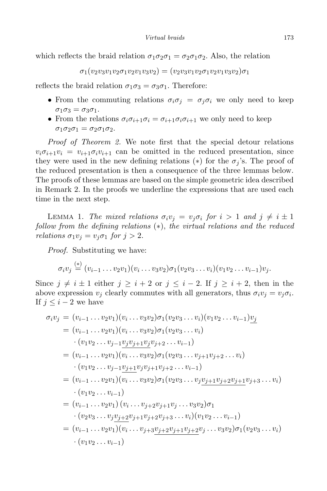which reflects the braid relation  $\sigma_1 \sigma_2 \sigma_1 = \sigma_2 \sigma_1 \sigma_2$ . Also, the relation

 $\sigma_1(v_2v_3v_1v_2\sigma_1v_2v_1v_3v_2) = (v_2v_3v_1v_2\sigma_1v_2v_1v_3v_2)\sigma_1$ 

reflects the braid relation  $\sigma_1 \sigma_3 = \sigma_3 \sigma_1$ . Therefore:

- From the commuting relations  $\sigma_i \sigma_j = \sigma_j \sigma_i$  we only need to keep  $\sigma_1\sigma_3=\sigma_3\sigma_1.$
- From the relations  $\sigma_i \sigma_{i+1} \sigma_i = \sigma_{i+1} \sigma_i \sigma_{i+1}$  we only need to keep  $\sigma_1\sigma_2\sigma_1 = \sigma_2\sigma_1\sigma_2.$

Proof of Theorem 2. We note first that the special detour relations  $v_i \sigma_{i+1} v_i = v_{i+1} \sigma_i v_{i+1}$  can be omitted in the reduced presentation, since they were used in the new defining relations (\*) for the  $\sigma_j$ 's. The proof of the reduced presentation is then a consequence of the three lemmas below. The proofs of these lemmas are based on the simple geometric idea described in Remark 2. In the proofs we underline the expressions that are used each time in the next step.

LEMMA 1. The mixed relations  $\sigma_i v_j = v_j \sigma_j$  for  $i > 1$  and  $j \neq i \pm 1$ follow from the defining relations (∗), the virtual relations and the reduced *relations*  $\sigma_1 v_i = v_i \sigma_1$  for  $j > 2$ .

Proof. Substituting we have:

$$
\sigma_i v_j \stackrel{(*)}{=} (v_{i-1} \dots v_2 v_1)(v_i \dots v_3 v_2) \sigma_1(v_2 v_3 \dots v_i)(v_1 v_2 \dots v_{i-1}) v_j.
$$

Since  $j \neq i \pm 1$  either  $j \geq i + 2$  or  $j \leq i - 2$ . If  $j \geq i + 2$ , then in the above expression  $v_j$  clearly commutes with all generators, thus  $\sigma_i v_j = v_j \sigma_i$ . If  $j \leq i-2$  we have

$$
\sigma_i v_j = (v_{i-1} \dots v_2 v_1)(v_i \dots v_3 v_2) \sigma_1 (v_2 v_3 \dots v_i)(v_1 v_2 \dots v_{i-1}) \underline{v_j}
$$
  
\n
$$
= (v_{i-1} \dots v_2 v_1)(v_i \dots v_3 v_2) \sigma_1 (v_2 v_3 \dots v_i)
$$
  
\n
$$
\cdot (v_1 v_2 \dots v_{j-1} \underline{v_j v_{j+1} v_j} v_{j+2} \dots v_{i-1})
$$
  
\n
$$
= (v_{i-1} \dots v_2 v_1)(v_i \dots v_3 v_2) \sigma_1 (v_2 v_3 \dots v_{j+1} v_{j+2} \dots v_i)
$$
  
\n
$$
\cdot (v_1 v_2 \dots v_{j-1} \underline{v_{j+1}} v_j v_{j+1} v_{j+2} \dots v_{i-1})
$$
  
\n
$$
= (v_{i-1} \dots v_2 v_1)(v_i \dots v_3 v_2) \sigma_1 (v_2 v_3 \dots v_j \underline{v_{j+1}} v_{j+2} v_{j+1} v_{j+3} \dots v_i)
$$
  
\n
$$
\cdot (v_1 v_2 \dots v_{i-1})
$$
  
\n
$$
= (v_{i-1} \dots v_2 v_1)(v_i \dots v_{j+2} v_{j+1} v_j \dots v_3 v_2) \sigma_1
$$
  
\n
$$
\cdot (v_2 v_3 \dots v_j \underline{v_{j+2}} v_{j+1} v_{j+2} v_{j+3} \dots v_i)(v_1 v_2 \dots v_{i-1})
$$
  
\n
$$
= (v_{i-1} \dots v_2 v_1)(v_i \dots v_{j+3} \underline{v_{j+2}} v_{j+1} v_{j+2} v_j \dots v_3 v_2) \sigma_1 (v_2 v_3 \dots v_i)
$$
  
\n
$$
\cdot (v_1 v_2 \dots v_{i-1})
$$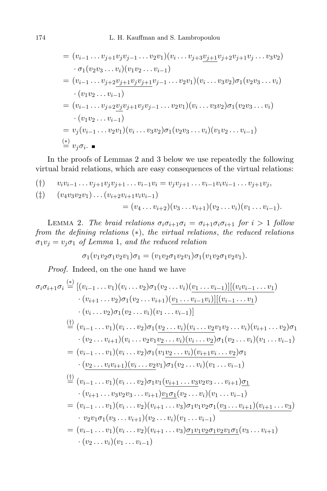$$
= (v_{i-1} \dots v_{j+1} v_j v_{j-1} \dots v_2 v_1)(v_i \dots v_{j+3} v_{j+1} v_{j+2} v_{j+1} v_j \dots v_3 v_2)
$$
  
\n
$$
\cdot \sigma_1 (v_2 v_3 \dots v_i)(v_1 v_2 \dots v_{i-1})
$$
  
\n
$$
= (v_{i-1} \dots v_{j+2} v_{j+1} v_j v_{j+1} v_{j-1} \dots v_2 v_1)(v_i \dots v_3 v_2) \sigma_1 (v_2 v_3 \dots v_i)
$$
  
\n
$$
\cdot (v_1 v_2 \dots v_{i-1})
$$
  
\n
$$
= (v_{i-1} \dots v_{j+2} v_j v_{j+1} v_j v_{j-1} \dots v_2 v_1)(v_i \dots v_3 v_2) \sigma_1 (v_2 v_3 \dots v_i)
$$
  
\n
$$
\cdot (v_1 v_2 \dots v_{i-1})
$$
  
\n
$$
= v_j (v_{i-1} \dots v_2 v_1)(v_i \dots v_3 v_2) \sigma_1 (v_2 v_3 \dots v_i)(v_1 v_2 \dots v_{i-1})
$$
  
\n
$$
\stackrel{(*)}{=} v_j \sigma_i.
$$

In the proofs of Lemmas 2 and 3 below we use repeatedly the following virtual braid relations, which are easy consequences of the virtual relations:

$$
(\dagger) \qquad v_i v_{i-1} \ldots v_{j+1} v_j v_{j+1} \ldots v_{i-1} v_i = v_j v_{j+1} \ldots v_{i-1} v_i v_{i-1} \ldots v_{j+1} v_j,
$$

$$
\begin{aligned} (\ddagger) \qquad & (v_4v_3v_2v_1)\dots(v_{i+2}v_{i+1}v_iv_{i-1}) \\ &= (v_4\dots v_{i+2})(v_3\dots v_{i+1})(v_2\dots v_i)(v_1\dots v_{i-1}). \end{aligned}
$$

LEMMA 2. The braid relations  $\sigma_i \sigma_{i+1} \sigma_i = \sigma_{i+1} \sigma_i \sigma_{i+1}$  for  $i > 1$  follow from the defining relations  $(*)$ , the virtual relations, the reduced relations  $\sigma_1 v_j = v_j \sigma_1$  of Lemma 1, and the reduced relation

$$
\sigma_1(v_1v_2\sigma_1v_2v_1)\sigma_1=(v_1v_2\sigma_1v_2v_1)\sigma_1(v_1v_2\sigma_1v_2v_1).
$$

Proof. Indeed, on the one hand we have

$$
\sigma_i \sigma_{i+1} \sigma_i \stackrel{(*)}{=} \left[ (v_{i-1} \ldots v_1)(v_i \ldots v_2) \sigma_1(v_2 \ldots v_i)(\underbrace{v_1 \ldots v_{i-1}}) \right] \left[ (v_i v_{i-1} \ldots v_1) \right. \\
\left. \quad \cdot (v_{i+1} \ldots v_2) \sigma_1(v_2 \ldots v_{i+1})(\underbrace{v_1 \ldots v_{i-1}v_i}) \right] \left[ (v_{i-1} \ldots v_1) \right. \\
\left. \quad \cdot (v_i \ldots v_2) \sigma_1(v_2 \ldots v_i)(v_1 \ldots v_{i-1}) \right]
$$
\n
$$
\stackrel{(1)}{=} (v_{i-1} \ldots v_1)(v_i \ldots v_2) \sigma_1(\underbrace{v_2 \ldots v_i})(v_i \ldots v_2 v_1 v_2 \ldots v_i)(v_{i+1} \ldots v_2) \sigma_1
$$
\n
$$
\cdot (v_2 \ldots v_{i+1})(v_i \ldots v_2 v_1 v_2 \ldots v_i)(v_i \ldots v_2) \sigma_1(v_2 \ldots v_i)(v_1 \ldots v_{i-1})
$$
\n
$$
= (v_{i-1} \ldots v_1)(v_i \ldots v_2) \sigma_1(v_1 v_2 \ldots v_i)(v_1 \ldots v_2) \sigma_1
$$
\n
$$
\cdot \underbrace{(v_2 \ldots v_i v_{i+1})(v_i \ldots v_2 v_1) \sigma_1(v_2 \ldots v_i)(v_1 \ldots v_{i-1})}
$$
\n
$$
\stackrel{(1)}{=} (v_{i-1} \ldots v_1)(v_i \ldots v_2) \sigma_1 v_1(v_{i+1} \ldots v_3 v_2 v_3 \ldots v_{i+1}) \underbrace{\sigma_1}{v_1 \ldots v_{i-1}}
$$
\n
$$
= (v_{i-1} \ldots v_1)(v_i \ldots v_2)(v_{i+1} \ldots v_3) \sigma_1 v_1 v_2 \sigma_1(v_3 \ldots v_{i+1})(v_{i+1} \ldots v_3)
$$
\n
$$
\cdot v_2 v_1 \sigma_1(v_3 \ldots v_{i+1})(v_2 \ldots v_i)(v_1 \ldots v_{i-1})
$$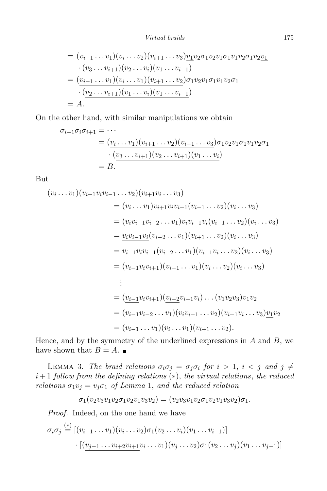Virtual braids 175

$$
= (v_{i-1} \dots v_1)(v_i \dots v_2)(v_{i+1} \dots v_3) \underbrace{v_1 v_2 \sigma_1 v_2 v_1 \sigma_1 v_1 v_2 \sigma_1 v_2 v_1}_{(v_3 \dots v_{i+1})(v_2 \dots v_i)(v_1 \dots v_{i-1})}
$$
  
= 
$$
(\underbrace{v_{i-1} \dots v_1)(v_i \dots v_1)(v_{i+1} \dots v_2)}_{(v_2 \dots v_{i+1})(v_1 \dots v_i)(v_1 \dots v_{i-1})}
$$
  
= 
$$
A.
$$

On the other hand, with similar manipulations we obtain

$$
\sigma_{i+1}\sigma_i\sigma_{i+1} = \cdots
$$
  
= 
$$
(\underbrace{v_i \dots v_1)(v_{i+1} \dots v_2)(v_{i+1} \dots v_3)}_{(v_3 \dots v_{i+1})(v_2 \dots v_{i+1})(v_1 \dots v_i)}
$$
  
= B.

But

$$
(v_i \dots v_1)(v_{i+1}v_iv_{i-1} \dots v_2)(\underbrace{v_{i+1}}v_i \dots v_3)
$$
\n
$$
= (v_i \dots v_1)\underbrace{v_{i+1}}v_iv_{i+1} (v_{i-1} \dots v_2)(v_i \dots v_3)
$$
\n
$$
= (v_iv_{i-1}v_{i-2} \dots v_1)\underbrace{v_iv_{i+1}}v_i(v_{i-1} \dots v_2)(v_i \dots v_3)
$$
\n
$$
= \underbrace{v_iv_{i-1}v_i}(v_{i-2} \dots v_1)(v_{i+1} \dots v_2)(v_i \dots v_3)
$$
\n
$$
= v_{i-1}v_iv_{i-1}(v_{i-2} \dots v_1)(\underbrace{v_{i+1}}v_i \dots v_2)(v_i \dots v_3)
$$
\n
$$
= (v_{i-1}v_iv_{i+1})(v_{i-1} \dots v_1)(v_i \dots v_2)(v_i \dots v_3)
$$
\n
$$
\vdots
$$
\n
$$
= (\underbrace{v_{i-1}}v_iv_{i+1})(\underbrace{v_{i-2}}v_{i-1}v_i) \dots (\underbrace{v_1}v_2v_3)v_1v_2
$$
\n
$$
= (v_{i-1}v_{i-2} \dots v_1)(v_iv_{i-1} \dots v_2)(v_{i+1}v_i \dots v_3)\underbrace{v_1}v_2
$$
\n
$$
= (v_{i-1} \dots v_1)(v_i \dots v_1)(v_{i+1} \dots v_2).
$$

Hence, and by the symmetry of the underlined expressions in  $A$  and  $B$ , we have shown that  $B = A$ .

LEMMA 3. The braid relations  $\sigma_i \sigma_j = \sigma_j \sigma_i$  for  $i > 1$ ,  $i < j$  and  $j \neq j$  $i+1$  follow from the defining relations  $(*)$ , the virtual relations, the reduced relations  $\sigma_1 v_j = v_j \sigma_1$  of Lemma 1, and the reduced relation

$$
\sigma_1(v_2v_3v_1v_2\sigma_1v_2v_1v_3v_2)=(v_2v_3v_1v_2\sigma_1v_2v_1v_3v_2)\sigma_1.
$$

Proof. Indeed, on the one hand we have

$$
\sigma_i \sigma_j \stackrel{(*)}{=} [(v_{i-1} \dots v_1)(v_i \dots v_2) \sigma_1(v_2 \dots v_i)(v_1 \dots v_{i-1})]
$$

$$
\cdot [(\underbrace{v_{j-1} \dots v_{i+2} v_{i+1}} v_i \dots v_1)(v_j \dots v_2) \sigma_1(v_2 \dots v_j)(v_1 \dots v_{j-1})]
$$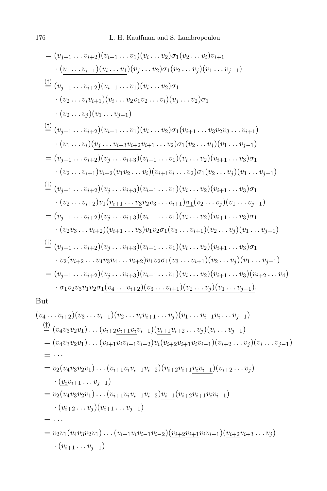$$
= (v_{j-1}...v_{i+2})(v_{i-1}...v_{1})(v_{i}...v_{2})\sigma_{1}(v_{2}...v_{i})v_{i+1}
$$
  
\n
$$
\cdot \frac{(v_{1}...v_{i-1})(v_{i}...v_{1})(v_{j}...v_{2})\sigma_{1}(v_{2}...v_{j})(v_{1}...v_{j-1})}{(v_{j-1}...v_{i+2})(v_{i-1}...v_{1})(v_{i}...v_{2})\sigma_{1}}
$$
  
\n
$$
\cdot \frac{(v_{2}...v_{i}v_{i+1})(v_{i}...v_{2}v_{1}v_{2}...v_{i})(v_{j}...v_{2})\sigma_{1}}{(v_{2}...v_{j})(v_{1}...v_{j-1})}
$$
  
\n
$$
\frac{(v_{1}...v_{i+2})(v_{1}...v_{j-1})}{(v_{1}...v_{i+2})(v_{i-1}...v_{1})(v_{i}...v_{2})\sigma_{1}(\underline{v_{i+1}...v_{3}}v_{2}v_{3}...v_{i+1})}
$$
  
\n
$$
\cdot \frac{(v_{1}...v_{i+2})(v_{j}...v_{i+3}v_{i+2}v_{i+1}...v_{2})\sigma_{1}(\underline{v_{i+1}...v_{3}}v_{2}v_{3}...v_{i+1})}{(v_{1}...v_{i+2})(v_{j}...v_{i+3})(v_{i-1}...v_{1})(v_{i}...v_{2})(v_{i+1}...v_{3})\sigma_{1}
$$
  
\n
$$
\cdot \frac{(v_{2}...v_{i+1})v_{i+2}(v_{1}\underline{v_{2}...v_{i}})(v_{i+1}v_{i}...v_{2})\sigma_{1}(v_{2}...v_{j})(v_{1}...v_{j-1})}
$$
  
\n
$$
\frac{(f)}{(v_{2}...v_{i+2})(v_{j}...v_{i+3})(v_{i-1}...v_{1})(v_{i}...v_{2})(v_{i+1}...v_{3})\sigma_{1}
$$
  
\n
$$
\cdot \frac{(v_{2}...v_{i+2})(v_{j}...v_{i+3})(v_{i-1}...v_{1})(v_{i}...v_{2})(v_{i+1}...v_{3})\sigma_{1}}{(v_{2}...v_{i+2})(v_{j}...v_{i
$$

But

$$
(v_4 \ldots v_{i+2})(v_3 \ldots v_{i+1})(v_2 \ldots v_i v_{i+1} \ldots v_j)(v_1 \ldots v_{i-1} v_i \ldots v_{j-1})
$$
\n
$$
\stackrel{(1)}{=} (v_4 v_3 v_2 v_1) \ldots (v_{i+2} v_{i+1} v_i v_{i-1})(v_{i+1} v_{i+2} \ldots v_j)(v_i \ldots v_{j-1})
$$
\n
$$
= (v_4 v_3 v_2 v_1) \ldots (v_{i+1} v_i v_{i-1} v_{i-2}) \underbrace{v_i (v_{i+2} v_{i+1} v_i v_{i-1})(v_{i+2} \ldots v_j)(v_i \ldots v_{j-1})}
$$
\n
$$
= \ldots
$$
\n
$$
= v_2 (v_4 v_3 v_2 v_1) \ldots (v_{i+1} v_i v_{i-1} v_{i-2})(v_{i+2} v_{i+1} v_i v_{i-1})(v_{i+2} \ldots v_j)
$$
\n
$$
\cdot \underbrace{(v_i v_{i+1} \ldots v_{j-1})}
$$
\n
$$
= v_2 (v_4 v_3 v_2 v_1) \ldots (v_{i+1} v_i v_{i-1} v_{i-2}) \underbrace{v_{i-1} (v_{i+2} v_{i+1} v_i v_{i-1})}
$$
\n
$$
= \ldots
$$
\n
$$
= v_2 v_1 (v_4 v_3 v_2 v_1) \ldots (v_{i+1} v_i v_{i-1} v_{i-2}) (\underbrace{v_{i+2} v_{i+1}} v_i v_{i-1}) (\underbrace{v_{i+2} v_{i+3} \ldots v_j}_{(v_{i+1} \ldots v_{j-1})})
$$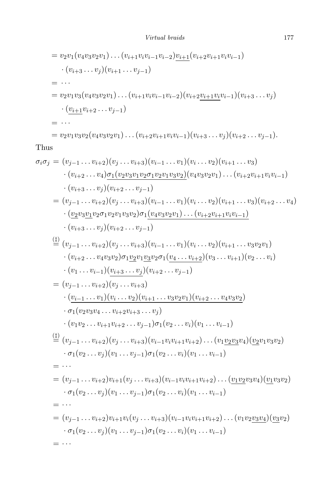$$
= v_2v_1(v_4v_3v_2v_1)\dots(v_{i+1}v_iv_{i-1}v_{i-2})\underline{v_{i+1}}(v_{i+2}v_{i+1}v_iv_{i-1})
$$
  
\n
$$
\cdot (v_{i+3}\dots v_j)(v_{i+1}\dots v_{j-1})
$$
  
\n
$$
= \dots
$$
  
\n
$$
= v_2v_1v_3(v_4v_3v_2v_1)\dots(v_{i+1}v_iv_{i-1}v_{i-2})(v_{i+2}\underline{v_{i+1}v_i}v_{i-1})(v_{i+3}\dots v_j)
$$
  
\n
$$
\cdot (\underline{v_{i+1}}v_{i+2}\dots v_{j-1})
$$
  
\n
$$
= \dots
$$
  
\n
$$
= v_2v_1v_3v_2(v_4v_3v_2v_1)\dots(v_{i+2}v_{i+1}v_iv_{i-1})(v_{i+3}\dots v_j)(v_{i+2}\dots v_{j-1}).
$$

# Thus

$$
\sigma_i \sigma_j = (v_{j-1} \dots v_{i+2})(v_j \dots v_{i+3})(v_{i-1} \dots v_1)(v_i \dots v_2)(v_{i+1} \dots v_3) \n\cdot (v_{i+2} \dots v_4) \underline{\sigma_1(v_2 v_3 v_1 v_2 \sigma_1 v_2 v_1 v_3 v_2})(v_4 v_3 v_2 v_1) \dots (v_{i+2} v_{i+1} v_i v_{i-1}) \n\cdot (v_{i+3} \dots v_j)(v_{i+2} \dots v_{j-1}) \n= (v_{j-1} \dots v_{i+2})(v_j \dots v_{i+3})(v_{i-1} \dots v_1)(v_i \dots v_2)(v_{i+1} \dots v_3)(v_{i+2} \dots v_4) \n\cdot (v_2 v_3 v_1 v_2 \sigma_1 v_2 v_1 v_3 v_2) \sigma_1(v_4 v_3 v_2 v_1) \dots (v_{i+2} v_{i+1} v_i v_{i-1}) \n\cdot (v_{i+3} \dots v_j)(v_{i+2} \dots v_{j-1}) \n= (v_{j-1} \dots v_{i+2})(v_j \dots v_{i+3})(v_{i-1} \dots v_1)(v_i \dots v_2)(v_{i+1} \dots v_3 v_2 v_1) \n\cdot (v_{i+2} \dots v_4 v_3 v_2) \sigma_1 \underline{v_2 v_1 v_3 v_2 \sigma_1 (v_4 \dots v_{i+2})(v_3 \dots v_{i+1})(v_2 \dots v_i) \n\cdot (v_1 \dots v_{i-1})(v_{i+3} \dots v_j)(v_{i+2} \dots v_{j-1}) \n= (v_{j-1} \dots v_{i+2})(v_j \dots v_{i+3}) \n\cdot (v_{1} v_2 \dots v_{i+2} v_{i+3} \dots v_j) \n\cdot (v_1 v_2 \dots v_{i+2} v_{i+3} \dots v_j) \n\cdot (v_1 v_2 \dots v_{i+2})(v_j \dots v_{i+3})(v_{i-1} v_i v_{i+2} \dots v_4 v_3 v_2) \n\sigma_1(v_2 \dots v_{i+2})(v_j \dots v_{i+3})(v_{i-1} v_i v_{i+2}) \dots (v_1 v
$$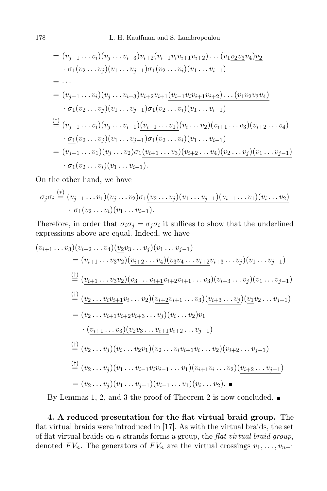$$
= (v_{j-1}...v_i)(v_j...v_{i+3})v_{i+2}(v_{i-1}v_iv_{i+1}v_{i+2})...(v_1v_2v_3v_4)v_2
$$
  
\n
$$
\cdot \sigma_1(v_2...v_j)(v_1...v_{j-1})\sigma_1(v_2...v_i)(v_1...v_{i-1})
$$
  
\n
$$
= ...
$$
  
\n
$$
= (v_{j-1}...v_i)(v_j...v_{i+3})v_{i+2}v_{i+1}(\underbrace{v_{i-1}v_iv_{i+1}v_{i+2})...(v_1v_2v_3v_4})
$$
  
\n
$$
\cdot \sigma_1(v_2...v_j)(v_1...v_{j-1})\sigma_1(v_2...v_i)(v_1...v_{i-1})
$$
  
\n
$$
\stackrel{\text{(i)}}{=} (v_{j-1}...v_i)(v_j...v_{i+1})(\underbrace{v_{i-1}...v_1}_{2})\sigma_1(v_2...v_i)(v_1...v_{i-1})
$$
  
\n
$$
\cdot \underbrace{\sigma_1(v_2...v_j)(v_1...v_{j-1})\sigma_1(v_2...v_i)(v_1...v_{i-1})}_{= (v_{j-1}...v_1)(v_j...v_2)\sigma_1(\underbrace{v_{i+1}...v_3})(\underbrace{v_{i+2}...v_4})(v_2...v_j)(v_1...v_{j-1})}_{= (v_1(v_2...v_i)(v_1...v_{i-1}).}
$$

On the other hand, we have

$$
\sigma_j \sigma_i \stackrel{(*)}{=} (v_{j-1} \dots v_1)(v_j \dots v_2) \sigma_1 \underbrace{(v_2 \dots v_j)(v_1 \dots v_{j-1})(v_{i-1} \dots v_1)(v_i \dots v_2)} \cdot \sigma_1 (v_2 \dots v_i)(v_1 \dots v_{i-1}).
$$

Therefore, in order that  $\sigma_i \sigma_j = \sigma_j \sigma_i$  it suffices to show that the underlined expressions above are equal. Indeed, we have

$$
(v_{i+1} \ldots v_3)(v_{i+2} \ldots v_4)(v_2v_3 \ldots v_j)(v_1 \ldots v_{j-1})
$$
\n
$$
= (v_{i+1} \ldots v_3v_2)(v_{i+2} \ldots v_4)(v_3v_4 \ldots v_{i+2}v_{i+3} \ldots v_j)(v_1 \ldots v_{j-1})
$$
\n
$$
\stackrel{(1)}{=} \underbrace{(v_{i+1} \ldots v_3v_2)(v_3 \ldots v_{i+1}v_{i+2}v_{i+1} \ldots v_3)(v_{i+3} \ldots v_j)(v_1 \ldots v_{j-1})
$$
\n
$$
\stackrel{(1)}{=} \underbrace{(v_2 \ldots v_i v_{i+1}v_i \ldots v_2)(v_{i+2}v_{i+1} \ldots v_3)(v_{i+3} \ldots v_j)(v_1v_2 \ldots v_{j-1})}
$$
\n
$$
= (v_2 \ldots v_{i+1}v_{i+2}v_{i+3} \ldots v_j)(v_i \ldots v_2)v_1
$$
\n
$$
\cdot \underbrace{(v_{i+1} \ldots v_3)(v_2v_3 \ldots v_{i+1}v_{i+2} \ldots v_{j-1})}
$$
\n
$$
\stackrel{(1)}{=} (v_2 \ldots v_j)(v_1 \ldots v_2v_1)(v_2 \ldots v_i v_{i+1}v_i \ldots v_2)(v_{i+2} \ldots v_{j-1})
$$
\n
$$
\stackrel{(1)}{=} (v_2 \ldots v_j)(v_1 \ldots v_{i-1}v_i v_{i-1} \ldots v_1)(v_{i+1}v_i \ldots v_2)\underbrace{(v_{i+2} \ldots v_{j-1})}
$$
\n
$$
= (v_2 \ldots v_j)(v_1 \ldots v_{j-1})(v_{i-1} \ldots v_1)(v_i \ldots v_2).
$$

By Lemmas 1, 2, and 3 the proof of Theorem 2 is now concluded.  $\blacksquare$ 

4. A reduced presentation for the flat virtual braid group. The flat virtual braids were introduced in [17]. As with the virtual braids, the set of flat virtual braids on  $n$  strands forms a group, the flat virtual braid group, denoted  $FV_n$ . The generators of  $FV_n$  are the virtual crossings  $v_1, \ldots, v_{n-1}$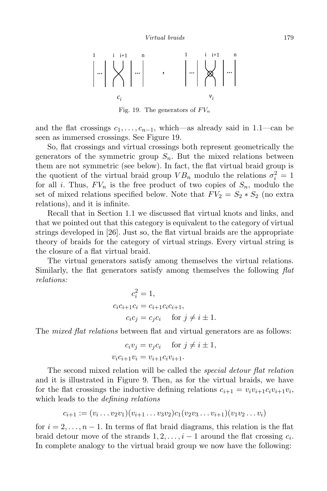

Fig. 19. The generators of  $FV_n$ 

and the flat crossings  $c_1, \ldots, c_{n-1}$ , which—as already said in 1.1—can be seen as immersed crossings. See Figure 19.

So, flat crossings and virtual crossings both represent geometrically the generators of the symmetric group  $S_n$ . But the mixed relations between them are not symmetric (see below). In fact, the flat virtual braid group is the quotient of the virtual braid group  $VB_n$  modulo the relations  $\sigma_i^2 = 1$ for all i. Thus,  $FV_n$  is the free product of two copies of  $S_n$ , modulo the set of mixed relations specified below. Note that  $FV_2 = S_2 * S_2$  (no extra relations), and it is infinite.

Recall that in Section 1.1 we discussed flat virtual knots and links, and that we pointed out that this category is equivalent to the category of virtual strings developed in [26]. Just so, the flat virtual braids are the appropriate theory of braids for the category of virtual strings. Every virtual string is the closure of a flat virtual braid.

The virtual generators satisfy among themselves the virtual relations. Similarly, the flat generators satisfy among themselves the following  $flat$ relations:

$$
c_i^2 = 1,
$$
  
\n
$$
c_i c_{i+1} c_i = c_{i+1} c_i c_{i+1},
$$
  
\n
$$
c_i c_j = c_j c_i \quad \text{for } j \neq i \pm 1.
$$

The *mixed flat relations* between flat and virtual generators are as follows:

$$
c_i v_j = v_j c_i \quad \text{for } j \neq i \pm 1,
$$
  

$$
v_i c_{i+1} v_i = v_{i+1} c_i v_{i+1}.
$$

The second mixed relation will be called the *special detour flat relation* and it is illustrated in Figure 9. Then, as for the virtual braids, we have for the flat crossings the inductive defining relations  $c_{i+1} = v_i v_{i+1} c_i v_{i+1} v_i$ , which leads to the *defining relations* 

$$
c_{i+1} := (v_i \dots v_2 v_1)(v_{i+1} \dots v_3 v_2)c_1(v_2 v_3 \dots v_{i+1})(v_1 v_2 \dots v_i)
$$

for  $i = 2, \ldots, n - 1$ . In terms of flat braid diagrams, this relation is the flat braid detour move of the strands  $1, 2, \ldots, i-1$  around the flat crossing  $c_i$ . In complete analogy to the virtual braid group we now have the following: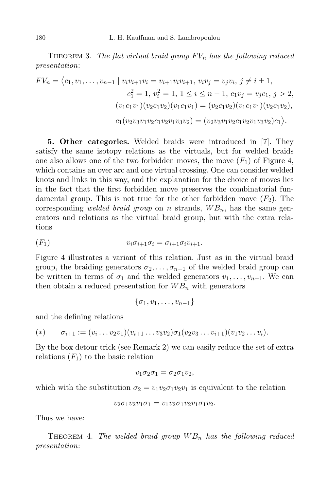THEOREM 3. The flat virtual braid group  $FV_n$  has the following reduced presentation:

$$
FV_n = \langle c_1, v_1, \dots, v_{n-1} \mid v_i v_{i+1} v_i = v_{i+1} v_i v_{i+1}, v_i v_j = v_j v_i, j \neq i \pm 1,
$$
  
\n
$$
c_1^2 = 1, v_i^2 = 1, 1 \leq i \leq n-1, c_1 v_j = v_j c_1, j > 2,
$$
  
\n
$$
(v_1 c_1 v_1)(v_2 c_1 v_2)(v_1 c_1 v_1) = (v_2 c_1 v_2)(v_1 c_1 v_1)(v_2 c_1 v_2),
$$
  
\n
$$
c_1 (v_2 v_3 v_1 v_2 c_1 v_2 v_1 v_3 v_2) = (v_2 v_3 v_1 v_2 c_1 v_2 v_1 v_3 v_2) c_1 \rangle.
$$

5. Other categories. Welded braids were introduced in [7]. They satisfy the same isotopy relations as the virtuals, but for welded braids one also allows one of the two forbidden moves, the move  $(F_1)$  of Figure 4, which contains an over arc and one virtual crossing. One can consider welded knots and links in this way, and the explanation for the choice of moves lies in the fact that the first forbidden move preserves the combinatorial fundamental group. This is not true for the other forbidden move  $(F_2)$ . The corresponding welded braid group on n strands,  $WB_n$ , has the same generators and relations as the virtual braid group, but with the extra relations

$$
(F_1) \t v_i \sigma_{i+1} \sigma_i = \sigma_{i+1} \sigma_i v_{i+1}.
$$

Figure 4 illustrates a variant of this relation. Just as in the virtual braid group, the braiding generators  $\sigma_2, \ldots, \sigma_{n-1}$  of the welded braid group can be written in terms of  $\sigma_1$  and the welded generators  $v_1, \ldots, v_{n-1}$ . We can then obtain a reduced presentation for  $WB_n$  with generators

 $\{\sigma_1, v_1, \ldots, v_{n-1}\}$ 

and the defining relations

(\*) 
$$
\sigma_{i+1} := (v_i \dots v_2 v_1)(v_{i+1} \dots v_3 v_2) \sigma_1 (v_2 v_3 \dots v_{i+1}) (v_1 v_2 \dots v_i).
$$

By the box detour trick (see Remark 2) we can easily reduce the set of extra relations  $(F_1)$  to the basic relation

$$
v_1 \sigma_2 \sigma_1 = \sigma_2 \sigma_1 v_2,
$$

which with the substitution  $\sigma_2 = v_1v_2\sigma_1v_2v_1$  is equivalent to the relation

$$
v_2\sigma_1v_2v_1\sigma_1=v_1v_2\sigma_1v_2v_1\sigma_1v_2.
$$

Thus we have:

THEOREM 4. The welded braid group  $WB<sub>n</sub>$  has the following reduced presentation: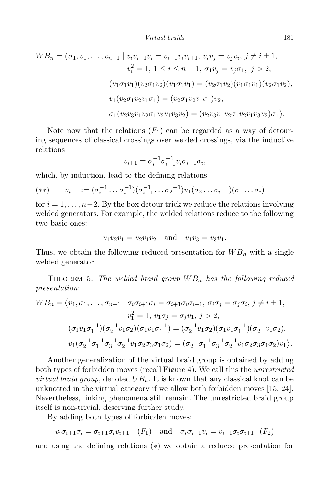$$
WB_n = \langle \sigma_1, v_1, \dots, v_{n-1} \mid v_i v_{i+1} v_i = v_{i+1} v_i v_{i+1}, v_i v_j = v_j v_i, j \neq i \pm 1,
$$
  
\n
$$
v_i^2 = 1, 1 \leq i \leq n-1, \sigma_1 v_j = v_j \sigma_1, j > 2,
$$
  
\n
$$
(v_1 \sigma_1 v_1)(v_2 \sigma_1 v_2)(v_1 \sigma_1 v_1) = (v_2 \sigma_1 v_2)(v_1 \sigma_1 v_1)(v_2 \sigma_1 v_2),
$$
  
\n
$$
v_1(v_2 \sigma_1 v_2 v_1 \sigma_1) = (v_2 \sigma_1 v_2 v_1 \sigma_1) v_2,
$$
  
\n
$$
\sigma_1(v_2 v_3 v_1 v_2 \sigma_1 v_2 v_1 v_3 v_2) = (v_2 v_3 v_1 v_2 \sigma_1 v_2 v_1 v_3 v_2) \sigma_1.
$$

Note now that the relations  $(F_1)$  can be regarded as a way of detouring sequences of classical crossings over welded crossings, via the inductive relations

$$
v_{i+1} = \sigma_i^{-1} \sigma_{i+1}^{-1} v_i \sigma_{i+1} \sigma_i,
$$

which, by induction, lead to the defining relations

$$
(**) \qquad v_{i+1} := (\sigma_i^{-1} \dots \sigma_i^{-1})(\sigma_{i+1}^{-1} \dots \sigma_2^{-1})v_1(\sigma_2 \dots \sigma_{i+1})(\sigma_1 \dots \sigma_i)
$$

for  $i = 1, \ldots, n-2$ . By the box detour trick we reduce the relations involving welded generators. For example, the welded relations reduce to the following two basic ones:

$$
v_1v_2v_1 = v_2v_1v_2 \text{ and } v_1v_3 = v_3v_1.
$$

Thus, we obtain the following reduced presentation for  $WB_n$  with a single welded generator.

THEOREM 5. The welded braid group  $WB<sub>n</sub>$  has the following reduced presentation:

$$
WB_n = \langle v_1, \sigma_1, \dots, \sigma_{n-1} \mid \sigma_i \sigma_{i+1} \sigma_i = \sigma_{i+1} \sigma_i \sigma_{i+1}, \sigma_i \sigma_j = \sigma_j \sigma_i, j \neq i \pm 1,
$$
  
\n
$$
v_1^2 = 1, v_1 \sigma_j = \sigma_j v_1, j > 2,
$$
  
\n
$$
(\sigma_1 v_1 \sigma_1^{-1})(\sigma_2^{-1} v_1 \sigma_2)(\sigma_1 v_1 \sigma_1^{-1}) = (\sigma_2^{-1} v_1 \sigma_2)(\sigma_1 v_1 \sigma_1^{-1})(\sigma_2^{-1} v_1 \sigma_2),
$$
  
\n
$$
v_1 (\sigma_2^{-1} \sigma_1^{-1} \sigma_3^{-1} \sigma_2^{-1} v_1 \sigma_2 \sigma_3 \sigma_1 \sigma_2) = (\sigma_2^{-1} \sigma_1^{-1} \sigma_3^{-1} \sigma_2^{-1} v_1 \sigma_2 \sigma_3 \sigma_1 \sigma_2) v_1 \rangle.
$$

Another generalization of the virtual braid group is obtained by adding both types of forbidden moves (recall Figure 4). We call this the unrestricted *virtual braid group*, denoted  $UB_n$ . It is known that any classical knot can be unknotted in the virtual category if we allow both forbidden moves [15, 24]. Nevertheless, linking phenomena still remain. The unrestricted braid group itself is non-trivial, deserving further study.

By adding both types of forbidden moves:

$$
v_i \sigma_{i+1} \sigma_i = \sigma_{i+1} \sigma_i v_{i+1} \quad (F_1) \quad \text{and} \quad \sigma_i \sigma_{i+1} v_i = v_{i+1} \sigma_i \sigma_{i+1} \quad (F_2)
$$

and using the defining relations (∗) we obtain a reduced presentation for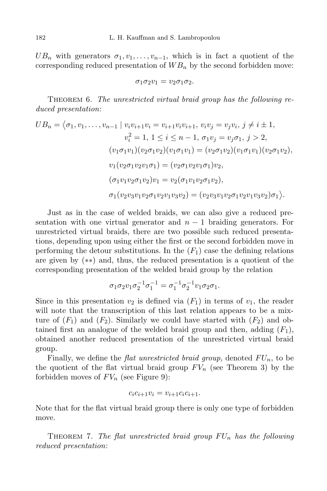$UB_n$  with generators  $\sigma_1, v_1, \ldots, v_{n-1}$ , which is in fact a quotient of the corresponding reduced presentation of  $WB_n$  by the second forbidden move:

$$
\sigma_1\sigma_2v_1=v_2\sigma_1\sigma_2.
$$

THEOREM 6. The unrestricted virtual braid group has the following reduced presentation:

$$
UB_n = \langle \sigma_1, v_1, \dots, v_{n-1} \mid v_i v_{i+1} v_i = v_{i+1} v_i v_{i+1}, v_i v_j = v_j v_i, j \neq i \pm 1,
$$
  
\n
$$
v_i^2 = 1, 1 \leq i \leq n-1, \sigma_1 v_j = v_j \sigma_1, j > 2,
$$
  
\n
$$
(v_1 \sigma_1 v_1) (v_2 \sigma_1 v_2) (v_1 \sigma_1 v_1) = (v_2 \sigma_1 v_2) (v_1 \sigma_1 v_1) (v_2 \sigma_1 v_2),
$$
  
\n
$$
v_1 (v_2 \sigma_1 v_2 v_1 \sigma_1) = (v_2 \sigma_1 v_2 v_1 \sigma_1) v_2,
$$
  
\n
$$
(\sigma_1 v_1 v_2 \sigma_1 v_2) v_1 = v_2 (\sigma_1 v_1 v_2 \sigma_1 v_2),
$$
  
\n
$$
\sigma_1 (v_2 v_3 v_1 v_2 \sigma_1 v_2 v_1 v_3 v_2) = (v_2 v_3 v_1 v_2 \sigma_1 v_2 v_1 v_3 v_2) \sigma_1.
$$

Just as in the case of welded braids, we can also give a reduced presentation with one virtual generator and  $n-1$  braiding generators. For unrestricted virtual braids, there are two possible such reduced presentations, depending upon using either the first or the second forbidden move in performing the detour substitutions. In the  $(F_1)$  case the defining relations are given by (∗∗) and, thus, the reduced presentation is a quotient of the corresponding presentation of the welded braid group by the relation

$$
\sigma_1 \sigma_2 v_1 \sigma_2^{-1} \sigma_1^{-1} = \sigma_1^{-1} \sigma_2^{-1} v_1 \sigma_2 \sigma_1.
$$

Since in this presentation  $v_2$  is defined via  $(F_1)$  in terms of  $v_1$ , the reader will note that the transcription of this last relation appears to be a mixture of  $(F_1)$  and  $(F_2)$ . Similarly we could have started with  $(F_2)$  and obtained first an analogue of the welded braid group and then, adding  $(F_1)$ , obtained another reduced presentation of the unrestricted virtual braid group.

Finally, we define the *flat unrestricted braid group*, denoted  $FU_n$ , to be the quotient of the flat virtual braid group  $FV_n$  (see Theorem 3) by the forbidden moves of  $FV_n$  (see Figure 9):

$$
c_i c_{i+1} v_i = v_{i+1} c_i c_{i+1}.
$$

Note that for the flat virtual braid group there is only one type of forbidden move.

THEOREM 7. The flat unrestricted braid group  $FU_n$  has the following reduced presentation: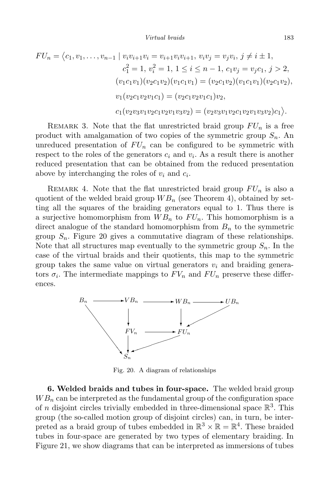$$
FU_n = \langle c_1, v_1, \dots, v_{n-1} \mid v_i v_{i+1} v_i = v_{i+1} v_i v_{i+1}, v_i v_j = v_j v_i, j \neq i \pm 1,
$$
  
\n
$$
c_1^2 = 1, v_i^2 = 1, 1 \leq i \leq n-1, c_1 v_j = v_j c_1, j > 2,
$$
  
\n
$$
(v_1 c_1 v_1)(v_2 c_1 v_2)(v_1 c_1 v_1) = (v_2 c_1 v_2)(v_1 c_1 v_1)(v_2 c_1 v_2),
$$
  
\n
$$
v_1(v_2 c_1 v_2 v_1 c_1) = (v_2 c_1 v_2 v_1 c_1)v_2,
$$
  
\n
$$
c_1(v_2 v_3 v_1 v_2 c_1 v_2 v_1 v_3 v_2) = (v_2 v_3 v_1 v_2 c_1 v_2 v_1 v_3 v_2)c_1.
$$

REMARK 3. Note that the flat unrestricted braid group  $FU_n$  is a free product with amalgamation of two copies of the symmetric group  $S_n$ . An unreduced presentation of  $FU_n$  can be configured to be symmetric with respect to the roles of the generators  $c_i$  and  $v_i$ . As a result there is another reduced presentation that can be obtained from the reduced presentation above by interchanging the roles of  $v_i$  and  $c_i$ .

REMARK 4. Note that the flat unrestricted braid group  $FU_n$  is also a quotient of the welded braid group  $WB_n$  (see Theorem 4), obtained by setting all the squares of the braiding generators equal to 1. Thus there is a surjective homomorphism from  $WB_n$  to  $FU_n$ . This homomorphism is a direct analogue of the standard homomorphism from  $B_n$  to the symmetric group  $S_n$ . Figure 20 gives a commutative diagram of these relationships. Note that all structures map eventually to the symmetric group  $S_n$ . In the case of the virtual braids and their quotients, this map to the symmetric group takes the same value on virtual generators  $v_i$  and braiding generators  $\sigma_i$ . The intermediate mappings to  $FV_n$  and  $FU_n$  preserve these differences.



Fig. 20. A diagram of relationships

6. Welded braids and tubes in four-space. The welded braid group  $WB_n$  can be interpreted as the fundamental group of the configuration space of *n* disjoint circles trivially embedded in three-dimensional space  $\mathbb{R}^3$ . This group (the so-called motion group of disjoint circles) can, in turn, be interpreted as a braid group of tubes embedded in  $\mathbb{R}^3 \times \mathbb{R} = \mathbb{R}^4$ . These braided tubes in four-space are generated by two types of elementary braiding. In Figure 21, we show diagrams that can be interpreted as immersions of tubes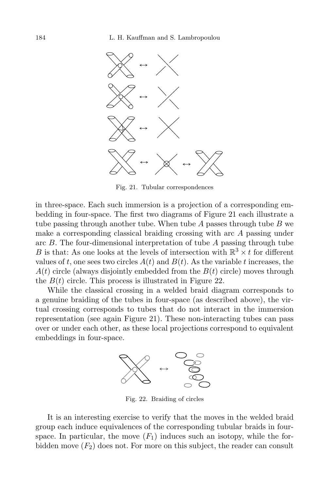

Fig. 21. Tubular correspondences

in three-space. Each such immersion is a projection of a corresponding embedding in four-space. The first two diagrams of Figure 21 each illustrate a tube passing through another tube. When tube  $A$  passes through tube  $B$  we make a corresponding classical braiding crossing with arc A passing under arc  $B$ . The four-dimensional interpretation of tube  $A$  passing through tube B is that: As one looks at the levels of intersection with  $\mathbb{R}^3 \times t$  for different values of t, one sees two circles  $A(t)$  and  $B(t)$ . As the variable t increases, the  $A(t)$  circle (always disjointly embedded from the  $B(t)$  circle) moves through the  $B(t)$  circle. This process is illustrated in Figure 22.

While the classical crossing in a welded braid diagram corresponds to a genuine braiding of the tubes in four-space (as described above), the virtual crossing corresponds to tubes that do not interact in the immersion representation (see again Figure 21). These non-interacting tubes can pass over or under each other, as these local projections correspond to equivalent embeddings in four-space.



Fig. 22. Braiding of circles

It is an interesting exercise to verify that the moves in the welded braid group each induce equivalences of the corresponding tubular braids in fourspace. In particular, the move  $(F_1)$  induces such an isotopy, while the forbidden move  $(F_2)$  does not. For more on this subject, the reader can consult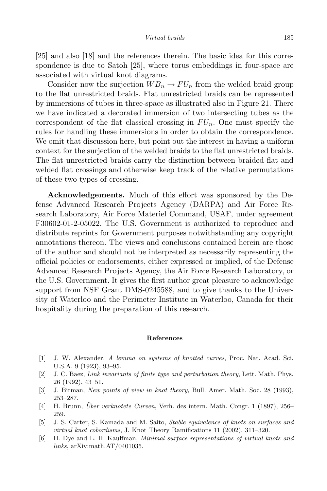[25] and also [18] and the references therein. The basic idea for this correspondence is due to Satoh [25], where torus embeddings in four-space are associated with virtual knot diagrams.

Consider now the surjection  $WB_n \to FU_n$  from the welded braid group to the flat unrestricted braids. Flat unrestricted braids can be represented by immersions of tubes in three-space as illustrated also in Figure 21. There we have indicated a decorated immersion of two intersecting tubes as the correspondent of the flat classical crossing in  $FU_n$ . One must specify the rules for handling these immersions in order to obtain the correspondence. We omit that discussion here, but point out the interest in having a uniform context for the surjection of the welded braids to the flat unrestricted braids. The flat unrestricted braids carry the distinction between braided flat and welded flat crossings and otherwise keep track of the relative permutations of these two types of crossing.

Acknowledgements. Much of this effort was sponsored by the Defense Advanced Research Projects Agency (DARPA) and Air Force Research Laboratory, Air Force Materiel Command, USAF, under agreement F30602-01-2-05022. The U.S. Government is authorized to reproduce and distribute reprints for Government purposes notwithstanding any copyright annotations thereon. The views and conclusions contained herein are those of the author and should not be interpreted as necessarily representing the official policies or endorsements, either expressed or implied, of the Defense Advanced Research Projects Agency, the Air Force Research Laboratory, or the U.S. Government. It gives the first author great pleasure to acknowledge support from NSF Grant DMS-0245588, and to give thanks to the University of Waterloo and the Perimeter Institute in Waterloo, Canada for their hospitality during the preparation of this research.

#### References

- [1] J. W. Alexander, A lemma on systems of knotted curves, Proc. Nat. Acad. Sci. U.S.A. 9 (1923), 93–95.
- [2] J. C. Baez, Link invariants of finite type and perturbation theory, Lett. Math. Phys. 26 (1992), 43–51.
- [3] J. Birman, New points of view in knot theory, Bull. Amer. Math. Soc. 28 (1993), 253–287.
- [4] H. Brunn, *Über verknotete Curven*, Verh. des intern. Math. Congr. 1 (1897), 256– 259.
- [5] J. S. Carter, S. Kamada and M. Saito, Stable equivalence of knots on surfaces and virtual knot cobordisms, J. Knot Theory Ramifications 11 (2002), 311–320.
- [6] H. Dye and L. H. Kauffman, Minimal surface representations of virtual knots and links, arXiv:math.AT/0401035.